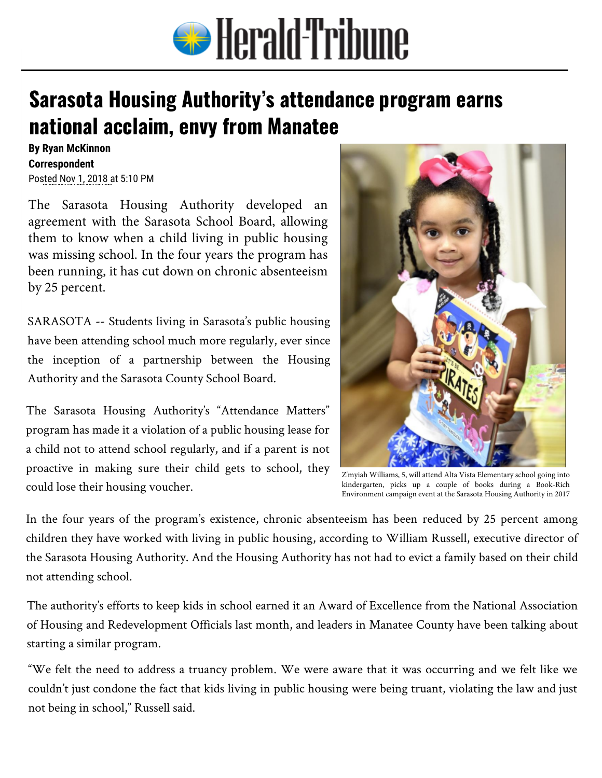

## **Sarasota Housing [Authority's attendance](https://www.heraldtribune.com/) program earns national acclaim, envy from Manatee**

**By Ryan McKinnon Correspondent**  Posted Nov 1, 2018 at 5:10 PM

The Sarasota [Housing](mailto:ryan.mckinnon@heraldtribune.com) Authority developed an agreement with the Sarasota School Board, allowing them to know when a child living in public housing was missing school. In the four years the program has been running, it has cut down on chronic absenteeism by 25 percent.

SARASOTA -- Students living in Sarasota's public housing have been attending school much more regularly, ever since the inception of a partnership between the Housing Authority and the Sarasota County School Board.

The Sarasota Housing Authority's "Attendance Matters" program has made it a violation of a public housing lease for a child not to attend school regularly, and if a parent is not proactive in making sure their child gets to school, they could lose their housing voucher.



Z'myiah Williams, 5, will attend Alta Vista Elementary school going into kindergarten, picks up a couple of books during a Book-Rich Environment campaign event at the Sarasota Housing Authority in 2017

In the four years of the program's existence, chronic absenteeism has been reduced by 25 percent among children they have worked with living in public housing, according to William Russell, executive director of the Sarasota Housing Authority. And the Housing Authority has not had to evict a family based on their child not attending school.

The authority's efforts to keep kids in school earned it an Award of Excellence from the National Association of Housing and Redevelopment Officials last month, and leaders in Manatee County have been talking about starting a similar program.

"We felt the need to address a truancy problem. We were aware that it was occurring and we felt like we couldn't just condone the fact that kids living in public housing were being truant, violating the law and just not being in school," Russell said.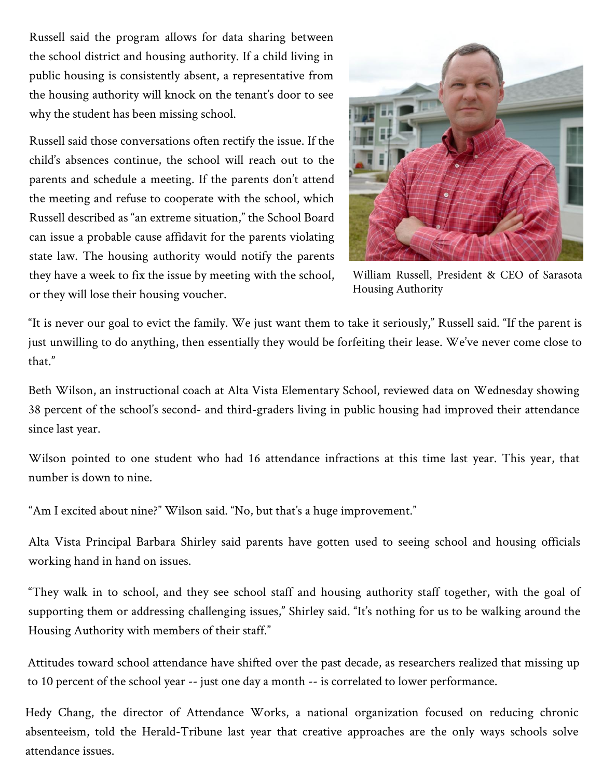Russell said the program allows for data sharing between the school district and housing authority. If a child living in public housing is consistently absent, a representative from the housing authority will knock on the tenant's door to see why the student has been missing school.

Russell said those conversations often rectify the issue. If the child's absences continue, the school will reach out to the parents and schedule a meeting. If the parents don't attend the meeting and refuse to cooperate with the school, which Russell described as "an extreme situation," the School Board can issue a probable cause affidavit for the parents violating state law. The housing authority would notify the parents they have a week to fix the issue by meeting with the school, or they will lose their housing voucher.



William Russell, President & CEO of Sarasota Housing Authority

"It is never our goal to evict the family. We just want them to take it seriously," Russell said. "If the parent is just unwilling to do anything, then essentially they would be forfeiting their lease. We've never come close to that."

Beth Wilson, an instructional coach at Alta Vista Elementary School, reviewed data on Wednesday showing 38 percent of the school's second- and third-graders living in public housing had improved their attendance since last year.

Wilson pointed to one student who had 16 attendance infractions at this time last year. This year, that number is down to nine.

"Am I excited about nine?" Wilson said. "No, but that's a huge improvement."

Alta Vista Principal Barbara Shirley said parents have gotten used to seeing school and housing officials working hand in hand on issues.

"They walk in to school, and they see school staff and housing authority staff together, with the goal of supporting them or addressing challenging issues," Shirley said. "It's nothing for us to be walking around the Housing Authority with members of their staff."

Attitudes toward school attendance have shifted over the past decade, as researchers realized that missing up to 10 percent of the school year -- just one day a month -- is correlated to lower performance.

Hedy Chang, the director of Attendance Works, a national organization focused on reducing chronic absenteeism, told the Herald-Tribune last year that creative approaches are the only ways schools solve attendance issues.